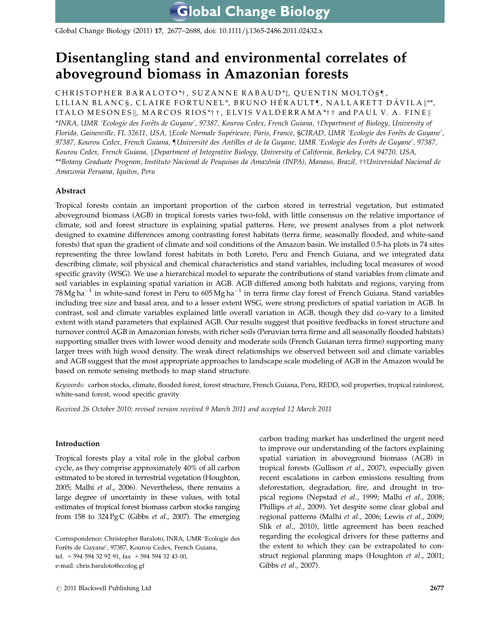Global Change Biology (2011) 17, 2677–2688, doi: 10.1111/j.1365-2486.2011.02432.x

# Disentangling stand and environmental correlates of aboveground biomass in Amazonian forests

CHRISTOPHER BARALOTO\*†, SUZANNE RABAUD\*‡, QUENTIN MOLTO§¶, LILIAN BLANC§, CLAIRE FORTUNEL\*, BRUNO HÉRAULT¶, NALLARETT DÁVILA ||\*\*, ITALO MESONES  $\parallel$ , MARCOS RIOS \*† †, ELVIS VALDERRAMA \*† † and PAUL V. A. FINE $\parallel$ \*INRA, UMR 'Ecologie des Forêts de Guyane', 97387, Kourou Cedex, French Guiana, †Department of Biology, University of Florida, Gainesville, FL 32611, USA, ‡Ecole Normale Supérieure, Paris, France, §CIRAD, UMR 'Ecologie des Forêts de Guyane', 97387, Kourou Cedex, French Guiana, ¶Université des Antilles et de la Guyane, UMR 'Ecologie des Forêts de Guyane', 97387, Kourou Cedex, French Guiana, *Department of Integrative Biology, University of California, Berkeley, CA 94720, USA*, \*\*Botany Graduate Program, Instituto Nacional de Pesquisas da Amazônia (INPA), Manaus, Brazil, ††Universidad Nacional de Amazonia Peruana, Iquitos, Peru

# Abstract

Tropical forests contain an important proportion of the carbon stored in terrestrial vegetation, but estimated aboveground biomass (AGB) in tropical forests varies two-fold, with little consensus on the relative importance of climate, soil and forest structure in explaining spatial patterns. Here, we present analyses from a plot network designed to examine differences among contrasting forest habitats (terra firme, seasonally flooded, and white-sand forests) that span the gradient of climate and soil conditions of the Amazon basin. We installed 0.5-ha plots in 74 sites representing the three lowland forest habitats in both Loreto, Peru and French Guiana, and we integrated data describing climate, soil physical and chemical characteristics and stand variables, including local measures of wood specific gravity (WSG). We use a hierarchical model to separate the contributions of stand variables from climate and soil variables in explaining spatial variation in AGB. AGB differed among both habitats and regions, varying from 78Mg ha $^{-1}$  in white-sand forest in Peru to 605Mg ha $^{-1}$  in terra firme clay forest of French Guiana. Stand variables including tree size and basal area, and to a lesser extent WSG, were strong predictors of spatial variation in AGB. In contrast, soil and climate variables explained little overall variation in AGB, though they did co-vary to a limited extent with stand parameters that explained AGB. Our results suggest that positive feedbacks in forest structure and turnover control AGB in Amazonian forests, with richer soils (Peruvian terra firme and all seasonally flooded habitats) supporting smaller trees with lower wood density and moderate soils (French Guianan terra firme) supporting many larger trees with high wood density. The weak direct relationships we observed between soil and climate variables and AGB suggest that the most appropriate approaches to landscape scale modeling of AGB in the Amazon would be based on remote sensing methods to map stand structure.

Keywords: carbon stocks, climate, flooded forest, forest structure, French Guiana, Peru, REDD, soil properties, tropical rainforest, white-sand forest, wood specific gravity

Received 26 October 2010; revised version received 9 March 2011 and accepted 12 March 2011

## Introduction

Tropical forests play a vital role in the global carbon cycle, as they comprise approximately 40% of all carbon estimated to be stored in terrestrial vegetation (Houghton, 2005; Malhi et al., 2006). Nevertheless, there remains a large degree of uncertainty in these values, with total estimates of tropical forest biomass carbon stocks ranging from  $158$  to  $324$  PgC (Gibbs *et al.*, 2007). The emerging

Correspondence: Christopher Baraloto, INRA, UMR 'Ecologie des Forêts de Guyane', 97387, Kourou Cedex, French Guiana, tel.  $+ 594 594 32 92 91$ , fax  $+ 594 594 32 43 00$ , e-mail: [chris.baraloto@ecofog.gf](mailto:chris.baraloto@ecofog.gf)

carbon trading market has underlined the urgent need to improve our understanding of the factors explaining spatial variation in aboveground biomass (AGB) in tropical forests (Gullison et al., 2007), especially given recent escalations in carbon emissions resulting from deforestation, degradation, fire, and drought in tropical regions (Nepstad et al., 1999; Malhi et al., 2008; Phillips et al., 2009). Yet despite some clear global and regional patterns (Malhi et al., 2006; Lewis et al., 2009; Slik et al., 2010), little agreement has been reached regarding the ecological drivers for these patterns and the extent to which they can be extrapolated to construct regional planning maps (Houghton et al., 2001; Gibbs et al., 2007).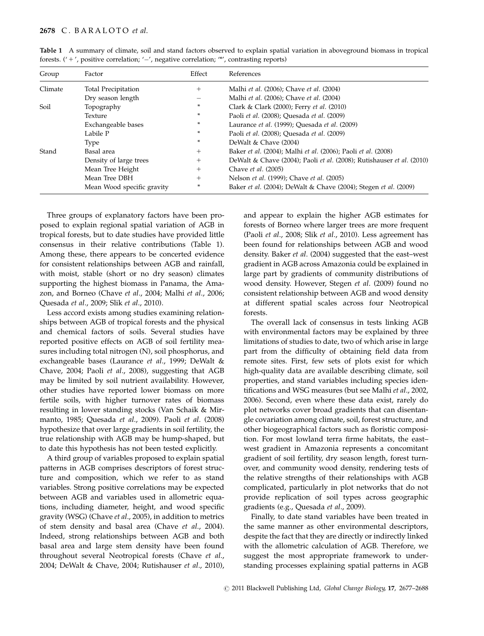| Group   | Factor                     | Effect | References                                                            |  |
|---------|----------------------------|--------|-----------------------------------------------------------------------|--|
| Climate | Total Precipitation        | $^{+}$ | Malhi <i>et al.</i> (2006); Chave <i>et al.</i> (2004)                |  |
|         | Dry season length          |        | Malhi et al. (2006); Chave et al. (2004)                              |  |
| Soil    | Topography                 | ×      | Clark & Clark (2000); Ferry et al. (2010)                             |  |
|         | Texture                    | ×      | Paoli et al. (2008); Ouesada et al. (2009)                            |  |
|         | Exchangeable bases         | ×      | Laurance et al. (1999); Quesada et al. (2009)                         |  |
|         | Labile P                   | ×      | Paoli et al. (2008); Ouesada et al. (2009)                            |  |
|         | Type                       | ×      | DeWalt & Chave (2004)                                                 |  |
| Stand   | Basal area                 | $^{+}$ | Baker et al. (2004); Malhi et al. (2006); Paoli et al. (2008)         |  |
|         | Density of large trees     | $^{+}$ | DeWalt & Chave (2004); Paoli et al. (2008); Rutishauser et al. (2010) |  |
|         | Mean Tree Height           | $^{+}$ | Chave <i>et al.</i> (2005)                                            |  |
|         | Mean Tree DBH              | $^{+}$ | Nelson <i>et al.</i> (1999); Chave <i>et al.</i> (2005)               |  |
|         | Mean Wood specific gravity | $\ast$ | Baker et al. (2004); DeWalt & Chave (2004); Stegen et al. (2009)      |  |

Table 1 A summary of climate, soil and stand factors observed to explain spatial variation in aboveground biomass in tropical forests. (' + ', positive correlation; '-', negative correlation; '\*', contrasting reports)

Three groups of explanatory factors have been proposed to explain regional spatial variation of AGB in tropical forests, but to date studies have provided little consensus in their relative contributions (Table 1). Among these, there appears to be concerted evidence for consistent relationships between AGB and rainfall, with moist, stable (short or no dry season) climates supporting the highest biomass in Panama, the Amazon, and Borneo (Chave et al., 2004; Malhi et al., 2006; Quesada et al., 2009; Slik et al., 2010).

Less accord exists among studies examining relationships between AGB of tropical forests and the physical and chemical factors of soils. Several studies have reported positive effects on AGB of soil fertility measures including total nitrogen (N), soil phosphorus, and exchangeable bases (Laurance et al., 1999; DeWalt & Chave, 2004; Paoli et al., 2008), suggesting that AGB may be limited by soil nutrient availability. However, other studies have reported lower biomass on more fertile soils, with higher turnover rates of biomass resulting in lower standing stocks (Van Schaik & Mirmanto, 1985; Quesada et al., 2009). Paoli et al. (2008) hypothesize that over large gradients in soil fertility, the true relationship with AGB may be hump-shaped, but to date this hypothesis has not been tested explicitly.

A third group of variables proposed to explain spatial patterns in AGB comprises descriptors of forest structure and composition, which we refer to as stand variables. Strong positive correlations may be expected between AGB and variables used in allometric equations, including diameter, height, and wood specific gravity (WSG) (Chave et al., 2005), in addition to metrics of stem density and basal area (Chave et al., 2004). Indeed, strong relationships between AGB and both basal area and large stem density have been found throughout several Neotropical forests (Chave et al., 2004; DeWalt & Chave, 2004; Rutishauser et al., 2010), and appear to explain the higher AGB estimates for forests of Borneo where larger trees are more frequent (Paoli et al., 2008; Slik et al., 2010). Less agreement has been found for relationships between AGB and wood density. Baker et al. (2004) suggested that the east–west gradient in AGB across Amazonia could be explained in large part by gradients of community distributions of wood density. However, Stegen et al. (2009) found no consistent relationship between AGB and wood density at different spatial scales across four Neotropical forests.

The overall lack of consensus in tests linking AGB with environmental factors may be explained by three limitations of studies to date, two of which arise in large part from the difficulty of obtaining field data from remote sites. First, few sets of plots exist for which high-quality data are available describing climate, soil properties, and stand variables including species identifications and WSG measures (but see Malhi et al., 2002, 2006). Second, even where these data exist, rarely do plot networks cover broad gradients that can disentangle covariation among climate, soil, forest structure, and other biogeographical factors such as floristic composition. For most lowland terra firme habitats, the east– west gradient in Amazonia represents a concomitant gradient of soil fertility, dry season length, forest turnover, and community wood density, rendering tests of the relative strengths of their relationships with AGB complicated, particularly in plot networks that do not provide replication of soil types across geographic gradients (e.g., Quesada et al., 2009).

Finally, to date stand variables have been treated in the same manner as other environmental descriptors, despite the fact that they are directly or indirectly linked with the allometric calculation of AGB. Therefore, we suggest the most appropriate framework to understanding processes explaining spatial patterns in AGB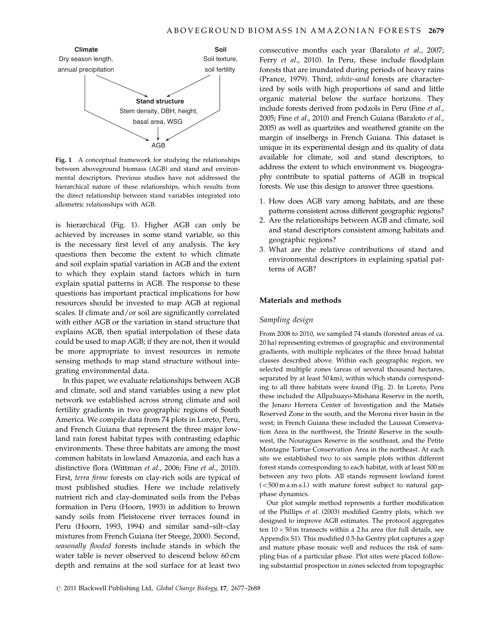

Fig. 1 A conceptual framework for studying the relationships between aboveground biomass (AGB) and stand and environmental descriptors. Previous studies have not addressed the hierarchical nature of these relationships, which results from the direct relationship between stand variables integrated into allometric relationships with AGB.

is hierarchical (Fig. 1). Higher AGB can only be achieved by increases in some stand variable, so this is the necessary first level of any analysis. The key questions then become the extent to which climate and soil explain spatial variation in AGB and the extent to which they explain stand factors which in turn explain spatial patterns in AGB. The response to these questions has important practical implications for how resources should be invested to map AGB at regional scales. If climate and/or soil are significantly correlated with either AGB or the variation in stand structure that explains AGB, then spatial interpolation of these data could be used to map AGB; if they are not, then it would be more appropriate to invest resources in remote sensing methods to map stand structure without integrating environmental data.

In this paper, we evaluate relationships between AGB and climate, soil and stand variables using a new plot network we established across strong climate and soil fertility gradients in two geographic regions of South America. We compile data from 74 plots in Loreto, Peru, and French Guiana that represent the three major lowland rain forest habitat types with contrasting edaphic environments. These three habitats are among the most common habitats in lowland Amazonia, and each has a distinctive flora (Wittman et al., 2006; Fine et al., 2010). First, terra firme forests on clay-rich soils are typical of most published studies. Here we include relatively nutrient rich and clay-dominated soils from the Pebas formation in Peru (Hoorn, 1993) in addition to brown sandy soils from Pleistocene river terraces found in Peru (Hoorn, 1993, 1994) and similar sand–silt–clay mixtures from French Guiana (ter Steege, 2000). Second, seasonally flooded forests include stands in which the water table is never observed to descend below 60 cm depth and remains at the soil surface for at least two

consecutive months each year (Baraloto et al., 2007; Ferry et al., 2010). In Peru, these include floodplain forests that are inundated during periods of heavy rains (Prance, 1979). Third, white-sand forests are characterized by soils with high proportions of sand and little organic material below the surface horizons. They include forests derived from podzols in Peru (Fine et al., 2005; Fine et al., 2010) and French Guiana (Baraloto et al., 2005) as well as quartzites and weathered granite on the margin of inselbergs in French Guiana. This dataset is unique in its experimental design and its quality of data available for climate, soil and stand descriptors, to address the extent to which environment vs. biogeography contribute to spatial patterns of AGB in tropical forests. We use this design to answer three questions.

- 1. How does AGB vary among habitats, and are these patterns consistent across different geographic regions?
- 2. Are the relationships between AGB and climate, soil and stand descriptors consistent among habitats and geographic regions?
- 3. What are the relative contributions of stand and environmental descriptors in explaining spatial patterns of AGB?

## Materials and methods

## Sampling design

From 2008 to 2010, we sampled 74 stands (forested areas of ca. 20 ha) representing extremes of geographic and environmental gradients, with multiple replicates of the three broad habitat classes described above. Within each geographic region, we selected multiple zones (areas of several thousand hectares, separated by at least 50 km), within which stands corresponding to all three habitats were found (Fig. 2). In Loreto, Peru these included the Allpahuayo-Mishana Reserve in the north, the Jenaro Herrera Center of Investigation and the Matsés Reserved Zone in the south, and the Morona river basin in the west; in French Guiana these included the Laussat Conservation Area in the northwest, the Trinité Reserve in the southwest, the Nouragues Reserve in the southeast, and the Petite Montagne Tortue Conservation Area in the northeast. At each site we established two to six sample plots within different forest stands corresponding to each habitat, with at least 500 m between any two plots. All stands represent lowland forest  $(<500$  m a.m.s.l.) with mature forest subject to natural gapphase dynamics.

Our plot sample method represents a further modification of the Phillips et al. (2003) modified Gentry plots, which we designed to improve AGB estimates. The protocol aggregates ten  $10 \times 50$  m transects within a 2 ha area (for full details, see Appendix S1). This modified 0.5-ha Gentry plot captures a gap and mature phase mosaic well and reduces the risk of sampling bias of a particular phase. Plot sites were placed following substantial prospection in zones selected from topographic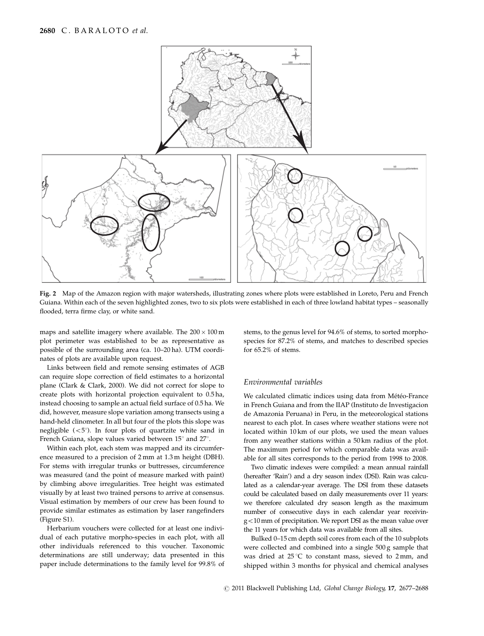

Fig. 2 Map of the Amazon region with major watersheds, illustrating zones where plots were established in Loreto, Peru and French Guiana. Within each of the seven highlighted zones, two to six plots were established in each of three lowland habitat types – seasonally flooded, terra firme clay, or white sand.

maps and satellite imagery where available. The  $200 \times 100$  m plot perimeter was established to be as representative as possible of the surrounding area (ca. 10–20 ha). UTM coordinates of plots are available upon request.

Links between field and remote sensing estimates of AGB can require slope correction of field estimates to a horizontal plane (Clark & Clark, 2000). We did not correct for slope to create plots with horizontal projection equivalent to 0.5 ha, instead choosing to sample an actual field surface of 0.5 ha. We did, however, measure slope variation among transects using a hand-held clinometer. In all but four of the plots this slope was negligible  $(<5^{\circ})$ . In four plots of quartzite white sand in French Guiana, slope values varied between  $15^{\circ}$  and  $27^{\circ}$ .

Within each plot, each stem was mapped and its circumference measured to a precision of 2 mm at 1.3 m height (DBH). For stems with irregular trunks or buttresses, circumference was measured (and the point of measure marked with paint) by climbing above irregularities. Tree height was estimated visually by at least two trained persons to arrive at consensus. Visual estimation by members of our crew has been found to provide similar estimates as estimation by laser rangefinders (Figure S1).

Herbarium vouchers were collected for at least one individual of each putative morpho-species in each plot, with all other individuals referenced to this voucher. Taxonomic determinations are still underway; data presented in this paper include determinations to the family level for 99.8% of stems, to the genus level for 94.6% of stems, to sorted morphospecies for 87.2% of stems, and matches to described species for 65.2% of stems.

## Environmental variables

We calculated climatic indices using data from Météo-France in French Guiana and from the IIAP (Instituto de Investigacion de Amazonia Peruana) in Peru, in the meteorological stations nearest to each plot. In cases where weather stations were not located within 10 km of our plots, we used the mean values from any weather stations within a 50 km radius of the plot. The maximum period for which comparable data was available for all sites corresponds to the period from 1998 to 2008.

Two climatic indexes were compiled: a mean annual rainfall (hereafter 'Rain') and a dry season index (DSI). Rain was calculated as a calendar-year average. The DSI from these datasets could be calculated based on daily measurements over 11 years: we therefore calculated dry season length as the maximum number of consecutive days in each calendar year receivin $g$ <10 mm of precipitation. We report DSI as the mean value over the 11 years for which data was available from all sites.

Bulked 0–15 cm depth soil cores from each of the 10 subplots were collected and combined into a single 500 g sample that was dried at  $25^{\circ}$ C to constant mass, sieved to 2 mm, and shipped within 3 months for physical and chemical analyses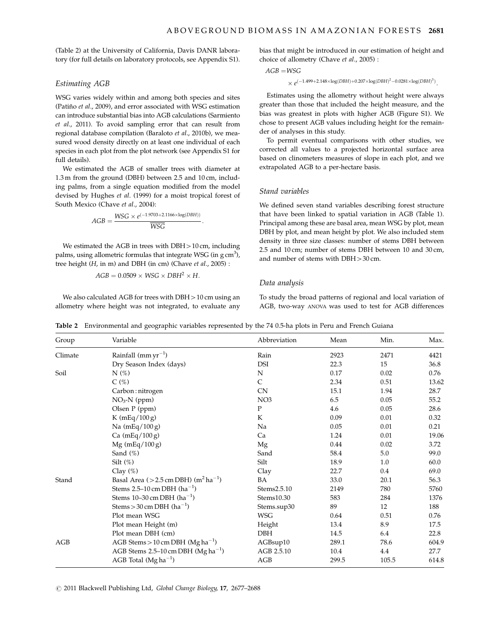(Table 2) at the University of California, Davis DANR laboratory (for full details on laboratory protocols, see Appendix S1).

#### Estimating AGB

WSG varies widely within and among both species and sites (Patiño et al., 2009), and error associated with WSG estimation can introduce substantial bias into AGB calculations (Sarmiento et al., 2011). To avoid sampling error that can result from regional database compilation (Baraloto et al., 2010b), we measured wood density directly on at least one individual of each species in each plot from the plot network (see Appendix S1 for full details).

We estimated the AGB of smaller trees with diameter at 1.3 m from the ground (DBH) between 2.5 and 10 cm, including palms, from a single equation modified from the model devised by Hughes et al. (1999) for a moist tropical forest of South Mexico (Chave et al., 2004):

$$
AGB = \frac{\textit{WSG} \times e^{(-1.9703 + 2.1166 \times \log(\textit{DBH}))}}{\textit{WSG}}.
$$

We estimated the AGB in trees with  $DBH > 10$  cm, including palms, using allometric formulas that integrate WSG (in  $g cm<sup>3</sup>$ ), tree height (H, in m) and DBH (in cm) (Chave et al., 2005) :

$$
AGB = 0.0509 \times WSG \times DBH^2 \times H.
$$

We also calculated AGB for trees with  $DBH > 10$  cm using an allometry where height was not integrated, to evaluate any bias that might be introduced in our estimation of height and choice of allometry (Chave et al., 2005) :

$$
AGB = WSG
$$

 $\times e^{(-1.499+2.148\times \log(DBH)+0.207\times \log(DBH)^2-0.0281\times \log(DBH)^3)}$ .

Estimates using the allometry without height were always greater than those that included the height measure, and the bias was greatest in plots with higher AGB (Figure S1). We chose to present AGB values including height for the remainder of analyses in this study.

To permit eventual comparisons with other studies, we corrected all values to a projected horizontal surface area based on clinometers measures of slope in each plot, and we extrapolated AGB to a per-hectare basis.

# Stand variables

We defined seven stand variables describing forest structure that have been linked to spatial variation in AGB (Table 1). Principal among these are basal area, mean WSG by plot, mean DBH by plot, and mean height by plot. We also included stem density in three size classes: number of stems DBH between 2.5 and 10 cm; number of stems DBH between 10 and 30 cm, and number of stems with  $DBH > 30$  cm.

#### Data analysis

To study the broad patterns of regional and local variation of AGB, two-way ANOVA was used to test for AGB differences

Table 2 Environmental and geographic variables represented by the 74 0.5-ha plots in Peru and French Guiana

| Group   | Variable                                                        | Abbreviation    | Mean  | Min.  | Max.  |
|---------|-----------------------------------------------------------------|-----------------|-------|-------|-------|
| Climate | Rainfall $(mm yr^{-1})$                                         | Rain            | 2923  | 2471  | 4421  |
|         | Dry Season Index (days)                                         | <b>DSI</b>      | 22.3  | 15    | 36.8  |
| Soil    | $N(\%)$                                                         | N               | 0.17  | 0.02  | 0.76  |
|         | $C(\%)$                                                         | $\mathsf{C}$    | 2.34  | 0.51  | 13.62 |
|         | Carbon: nitrogen                                                | <b>CN</b>       | 15.1  | 1.94  | 28.7  |
|         | $NO3-N$ (ppm)                                                   | NO <sub>3</sub> | 6.5   | 0.05  | 55.2  |
|         | Olsen P (ppm)                                                   | $\mathbf{P}$    | 4.6   | 0.05  | 28.6  |
|         | K (mEq/100 g)                                                   | K               | 0.09  | 0.01  | 0.32  |
|         | Na $(mEq/100 g)$                                                | Na              | 0.05  | 0.01  | 0.21  |
|         | Ca $(mEq/100 g)$                                                | Ca              | 1.24  | 0.01  | 19.06 |
|         | Mg $(mEq/100 g)$                                                | Mg              | 0.44  | 0.02  | 3.72  |
|         | Sand $(\%)$                                                     | Sand            | 58.4  | 5.0   | 99.0  |
|         | Silt $(\%)$                                                     | Silt            | 18.9  | 1.0   | 60.0  |
|         | Clay $(\%)$                                                     | Clay            | 22.7  | 0.4   | 69.0  |
| Stand   | Basal Area ( $>$ 2.5 cm DBH) (m <sup>2</sup> ha <sup>-1</sup> ) | BA              | 33.0  | 20.1  | 56.3  |
|         | Stems 2.5–10 cm DBH $(ha^{-1})$                                 | Stems2.5.10     | 2149  | 780   | 5760  |
|         | Stems $10-30$ cm DBH (ha <sup>-1</sup> )                        | Stems10.30      | 583   | 284   | 1376  |
|         | Stems > 30 cm DBH $(ha^{-1})$                                   | Stems.sup30     | 89    | 12    | 188   |
|         | Plot mean WSG                                                   | <b>WSG</b>      | 0.64  | 0.51  | 0.76  |
|         | Plot mean Height (m)                                            | Height          | 13.4  | 8.9   | 17.5  |
|         | Plot mean DBH (cm)                                              | <b>DBH</b>      | 14.5  | 6.4   | 22.8  |
| AGB     | AGB Stems > 10 cm DBH ( $Mg$ ha <sup>-1</sup> )                 | AGBsup10        | 289.1 | 78.6  | 604.9 |
|         | AGB Stems 2.5–10 cm DBH $(Mg ha^{-1})$                          | AGB 2.5.10      | 10.4  | 4.4   | 27.7  |
|         | AGB Total $(Mg ha^{-1})$                                        | AGB             | 299.5 | 105.5 | 614.8 |

r 2011 Blackwell Publishing Ltd, Global Change Biology, 17, 2677–2688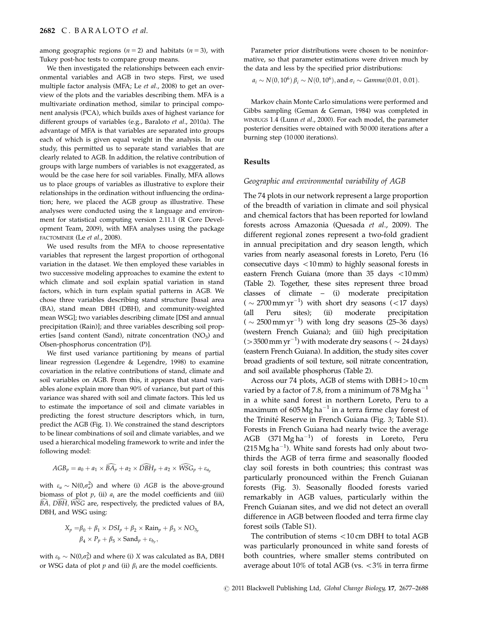among geographic regions  $(n = 2)$  and habitats  $(n = 3)$ , with Tukey post-hoc tests to compare group means.

We then investigated the relationships between each environmental variables and AGB in two steps. First, we used multiple factor analysis (MFA; Le et al., 2008) to get an overview of the plots and the variables describing them. MFA is a multivariate ordination method, similar to principal component analysis (PCA), which builds axes of highest variance for different groups of variables (e.g., Baraloto et al., 2010a). The advantage of MFA is that variables are separated into groups each of which is given equal weight in the analysis. In our study, this permitted us to separate stand variables that are clearly related to AGB. In addition, the relative contribution of groups with large numbers of variables is not exaggerated, as would be the case here for soil variables. Finally, MFA allows us to place groups of variables as illustrative to explore their relationships in the ordination without influencing the ordination; here, we placed the AGB group as illustrative. These analyses were conducted using the R language and environment for statistical computing version 2.11.1 (R Core Development Team, 2009), with MFA analyses using the package FACTOMINER (Le et al., 2008).

We used results from the MFA to choose representative variables that represent the largest proportion of orthogonal variation in the dataset. We then employed these variables in two successive modeling approaches to examine the extent to which climate and soil explain spatial variation in stand factors, which in turn explain spatial patterns in AGB. We chose three variables describing stand structure [basal area (BA), stand mean DBH (DBH), and community-weighted mean WSG]; two variables describing climate [DSI and annual precipitation (Rain)]; and three variables describing soil properties [sand content (Sand), nitrate concentration  $(NO<sub>3</sub>)$  and Olsen-phosphorus concentration (P)].

We first used variance partitioning by means of partial linear regression (Legendre & Legendre, 1998) to examine covariation in the relative contributions of stand, climate and soil variables on AGB. From this, it appears that stand variables alone explain more than 90% of variance, but part of this variance was shared with soil and climate factors. This led us to estimate the importance of soil and climate variables in predicting the forest structure descriptors which, in turn, predict the AGB (Fig. 1). We constrained the stand descriptors to be linear combinations of soil and climate variables, and we used a hierarchical modeling framework to write and infer the following model:

$$
AGB_p = a_0 + a_1 \times \widehat{BA_p} + a_2 \times \widehat{DBH}_p + a_2 \times \widehat{WSG}_p + \varepsilon_{a_p}
$$

with  $\varepsilon_a \sim N(0,\sigma_a^2)$  and where (i) AGB is the above-ground biomass of plot  $p$ , (ii)  $a_i$  are the model coefficients and (iii) BA, DBH, WSG are, respectively, the predicted values of BA, DBH, and WSG using:

$$
X_p = \beta_0 + \beta_1 \times DSI_p + \beta_2 \times Rain_p + \beta_3 \times NO_{3_p}
$$
  

$$
\beta_4 \times P_p + \beta_5 \times Sand_p + \varepsilon_{b_p},
$$

with  $\varepsilon_b \sim \text{N}(0,\sigma_b^2)$  and where (i) X was calculated as BA, DBH or WSG data of plot  $p$  and (ii)  $\beta_i$  are the model coefficients.

Parameter prior distributions were chosen to be noninformative, so that parameter estimations were driven much by the data and less by the specified prior distributions:

$$
a_i \sim N(0, 10^6) \beta_i \sim N(0, 10^6)
$$
, and  $\sigma_i \sim \text{Gamma}(0.01, 0.01)$ .

Markov chain Monte Carlo simulations were performed and Gibbs sampling (Geman & Geman, 1984) was completed in WINBUGS 1.4 (Lunn et al., 2000). For each model, the parameter posterior densities were obtained with 50 000 iterations after a burning step (10 000 iterations).

## Results

#### Geographic and environmental variability of AGB

The 74 plots in our network represent a large proportion of the breadth of variation in climate and soil physical and chemical factors that has been reported for lowland forests across Amazonia (Quesada et al., 2009). The different regional zones represent a two-fold gradient in annual precipitation and dry season length, which varies from nearly aseasonal forests in Loreto, Peru (16 consecutive days  $\langle 10 \text{ mm} \rangle$  to highly seasonal forests in eastern French Guiana (more than  $35 \text{ days} < 10 \text{ mm}$ ) (Table 2). Together, these sites represent three broad classes of climate – (i) moderate precipitation  $( $\sim 2700 \text{ mm yr}^{-1}$ ) with short dry seasons ( $<17 \text{ days}$ )$ (all Peru sites); (ii) moderate precipitation  $($   $\sim$  2500 mm yr<sup>-1</sup>) with long dry seasons (25-36 days) (western French Guiana); and (iii) high precipitation  $($  > 3500 mm yr<sup>-1</sup>) with moderate dry seasons (  $\sim$  24 days) (eastern French Guiana). In addition, the study sites cover broad gradients of soil texture, soil nitrate concentration, and soil available phosphorus (Table 2).

Across our 74 plots, AGB of stems with  $DBH > 10$  cm varied by a factor of 7.8, from a minimum of 78 Mg ha $^{-1}$ in a white sand forest in northern Loreto, Peru to a maximum of 605 Mg ha $^{-1}$  in a terra firme clay forest of the Trinité Reserve in French Guiana (Fig. 3; Table S1). Forests in French Guiana had nearly twice the average AGB  $(371 \text{ Mg ha}^{-1})$  of forests in Loreto, Peru  $(215 \text{ Mg ha}^{-1})$ . White sand forests had only about twothirds the AGB of terra firme and seasonally flooded clay soil forests in both countries; this contrast was particularly pronounced within the French Guianan forests (Fig. 3). Seasonally flooded forests varied remarkably in AGB values, particularly within the French Guianan sites, and we did not detect an overall difference in AGB between flooded and terra firme clay forest soils (Table S1).

The contribution of stems  $<$  10 cm DBH to total AGB was particularly pronounced in white sand forests of both countries, where smaller stems contributed on average about  $10\%$  of total AGB (vs.  $<3\%$  in terra firme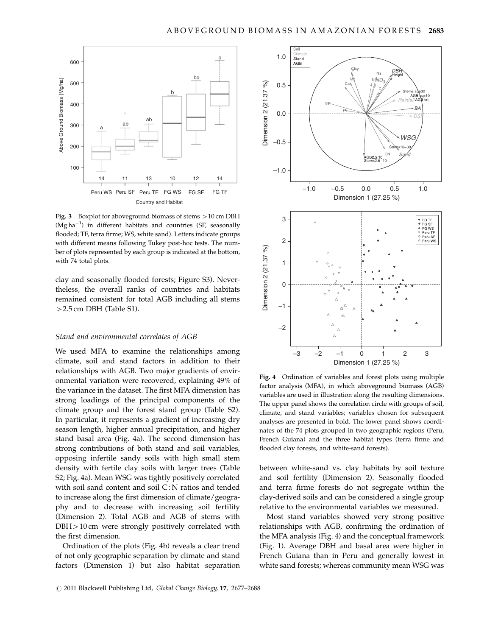

Fig. 3 Boxplot for aboveground biomass of stems  $>10$  cm DBH  $(Mg ha^{-1})$  in different habitats and countries (SF, seasonally flooded; TF, terra firme; WS, white sand). Letters indicate groups with different means following Tukey post-hoc tests. The number of plots represented by each group is indicated at the bottom, with 74 total plots.

clay and seasonally flooded forests; Figure S3). Nevertheless, the overall ranks of countries and habitats remained consistent for total AGB including all stems  $>$  2.5 cm DBH (Table S1).

#### Stand and environmental correlates of AGB

We used MFA to examine the relationships among climate, soil and stand factors in addition to their relationships with AGB. Two major gradients of environmental variation were recovered, explaining 49% of the variance in the dataset. The first MFA dimension has strong loadings of the principal components of the climate group and the forest stand group (Table S2). In particular, it represents a gradient of increasing dry season length, higher annual precipitation, and higher stand basal area (Fig. 4a). The second dimension has strong contributions of both stand and soil variables, opposing infertile sandy soils with high small stem density with fertile clay soils with larger trees (Table S2; Fig. 4a). Mean WSG was tightly positively correlated with soil sand content and soil C: N ratios and tended to increase along the first dimension of climate/geography and to decrease with increasing soil fertility (Dimension 2). Total AGB and AGB of stems with  $DBH > 10$  cm were strongly positively correlated with the first dimension.

Ordination of the plots (Fig. 4b) reveals a clear trend of not only geographic separation by climate and stand factors (Dimension 1) but also habitat separation



Fig. 4 Ordination of variables and forest plots using multiple factor analysis (MFA), in which aboveground biomass (AGB) variables are used in illustration along the resulting dimensions. The upper panel shows the correlation circle with groups of soil, climate, and stand variables; variables chosen for subsequent analyses are presented in bold. The lower panel shows coordinates of the 74 plots grouped in two geographic regions (Peru, French Guiana) and the three habitat types (terra firme and flooded clay forests, and white-sand forests).

between white-sand vs. clay habitats by soil texture and soil fertility (Dimension 2). Seasonally flooded and terra firme forests do not segregate within the clay-derived soils and can be considered a single group relative to the environmental variables we measured.

Most stand variables showed very strong positive relationships with AGB, confirming the ordination of the MFA analysis (Fig. 4) and the conceptual framework (Fig. 1). Average DBH and basal area were higher in French Guiana than in Peru and generally lowest in white sand forests; whereas community mean WSG was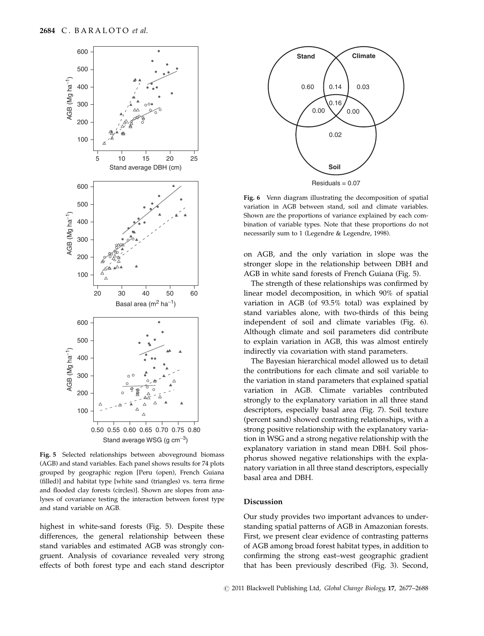

Fig. 5 Selected relationships between aboveground biomass (AGB) and stand variables. Each panel shows results for 74 plots grouped by geographic region [Peru (open), French Guiana (filled)] and habitat type [white sand (triangles) vs. terra firme and flooded clay forests (circles)]. Shown are slopes from analyses of covariance testing the interaction between forest type and stand variable on AGB.

highest in white-sand forests (Fig. 5). Despite these differences, the general relationship between these stand variables and estimated AGB was strongly congruent. Analysis of covariance revealed very strong effects of both forest type and each stand descriptor



Fig. 6 Venn diagram illustrating the decomposition of spatial variation in AGB between stand, soil and climate variables. Shown are the proportions of variance explained by each combination of variable types. Note that these proportions do not necessarily sum to 1 (Legendre & Legendre, 1998).

on AGB, and the only variation in slope was the stronger slope in the relationship between DBH and AGB in white sand forests of French Guiana (Fig. 5).

The strength of these relationships was confirmed by linear model decomposition, in which 90% of spatial variation in AGB (of 93.5% total) was explained by stand variables alone, with two-thirds of this being independent of soil and climate variables (Fig. 6). Although climate and soil parameters did contribute to explain variation in AGB, this was almost entirely indirectly via covariation with stand parameters.

The Bayesian hierarchical model allowed us to detail the contributions for each climate and soil variable to the variation in stand parameters that explained spatial variation in AGB. Climate variables contributed strongly to the explanatory variation in all three stand descriptors, especially basal area (Fig. 7). Soil texture (percent sand) showed contrasting relationships, with a strong positive relationship with the explanatory variation in WSG and a strong negative relationship with the explanatory variation in stand mean DBH. Soil phosphorus showed negative relationships with the explanatory variation in all three stand descriptors, especially basal area and DBH.

## Discussion

Our study provides two important advances to understanding spatial patterns of AGB in Amazonian forests. First, we present clear evidence of contrasting patterns of AGB among broad forest habitat types, in addition to confirming the strong east–west geographic gradient that has been previously described (Fig. 3). Second,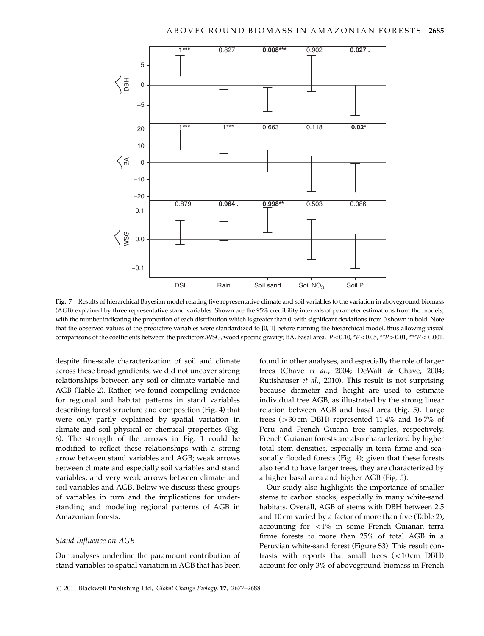

Fig. 7 Results of hierarchical Bayesian model relating five representative climate and soil variables to the variation in aboveground biomass (AGB) explained by three representative stand variables. Shown are the 95% credibility intervals of parameter estimations from the models, with the number indicating the proportion of each distribution which is greater than 0, with significant deviations from 0 shown in bold. Note that the observed values of the predictive variables were standardized to [0, 1] before running the hierarchical model, thus allowing visual comparisons of the coefficients between the predictors.WSG, wood specific gravity; BA, basal area.  $P < 0.10$ ,  $P < 0.05$ ,  $*P > 0.01$ ,  $**P < 0.001$ .

despite fine-scale characterization of soil and climate across these broad gradients, we did not uncover strong relationships between any soil or climate variable and AGB (Table 2). Rather, we found compelling evidence for regional and habitat patterns in stand variables describing forest structure and composition (Fig. 4) that were only partly explained by spatial variation in climate and soil physical or chemical properties (Fig. 6). The strength of the arrows in Fig. 1 could be modified to reflect these relationships with a strong arrow between stand variables and AGB; weak arrows between climate and especially soil variables and stand variables; and very weak arrows between climate and soil variables and AGB. Below we discuss these groups of variables in turn and the implications for understanding and modeling regional patterns of AGB in Amazonian forests.

## Stand influence on AGB

Our analyses underline the paramount contribution of stand variables to spatial variation in AGB that has been

found in other analyses, and especially the role of larger trees (Chave et al., 2004; DeWalt & Chave, 2004; Rutishauser et al., 2010). This result is not surprising because diameter and height are used to estimate individual tree AGB, as illustrated by the strong linear relation between AGB and basal area (Fig. 5). Large trees ( $>$ 30 cm DBH) represented 11.4% and 16.7% of Peru and French Guiana tree samples, respectively. French Guianan forests are also characterized by higher total stem densities, especially in terra firme and seasonally flooded forests (Fig. 4); given that these forests also tend to have larger trees, they are characterized by a higher basal area and higher AGB (Fig. 5).

Our study also highlights the importance of smaller stems to carbon stocks, especially in many white-sand habitats. Overall, AGB of stems with DBH between 2.5 and 10 cm varied by a factor of more than five (Table 2), accounting for  $\langle 1\%$  in some French Guianan terra firme forests to more than 25% of total AGB in a Peruvian white-sand forest (Figure S3). This result contrasts with reports that small trees  $\left($  < 10 cm DBH) account for only 3% of aboveground biomass in French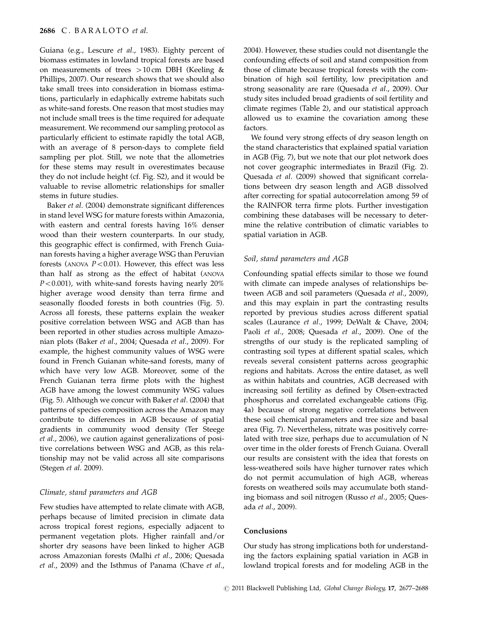Guiana (e.g., Lescure et al., 1983). Eighty percent of biomass estimates in lowland tropical forests are based on measurements of trees  $>10$  cm DBH (Keeling & Phillips, 2007). Our research shows that we should also take small trees into consideration in biomass estimations, particularly in edaphically extreme habitats such as white-sand forests. One reason that most studies may not include small trees is the time required for adequate measurement. We recommend our sampling protocol as particularly efficient to estimate rapidly the total AGB, with an average of 8 person-days to complete field sampling per plot. Still, we note that the allometries for these stems may result in overestimates because they do not include height (cf. Fig. S2), and it would be valuable to revise allometric relationships for smaller stems in future studies.

Baker et al. (2004) demonstrate significant differences in stand level WSG for mature forests within Amazonia, with eastern and central forests having 16% denser wood than their western counterparts. In our study, this geographic effect is confirmed, with French Guianan forests having a higher average WSG than Peruvian forests (ANOVA  $P < 0.01$ ). However, this effect was less than half as strong as the effect of habitat (ANOVA  $P<0.001$ ), with white-sand forests having nearly 20% higher average wood density than terra firme and seasonally flooded forests in both countries (Fig. 5). Across all forests, these patterns explain the weaker positive correlation between WSG and AGB than has been reported in other studies across multiple Amazonian plots (Baker et al., 2004; Quesada et al., 2009). For example, the highest community values of WSG were found in French Guianan white-sand forests, many of which have very low AGB. Moreover, some of the French Guianan terra firme plots with the highest AGB have among the lowest community WSG values (Fig. 5). Although we concur with Baker et al. (2004) that patterns of species composition across the Amazon may contribute to differences in AGB because of spatial gradients in community wood density (Ter Steege et al., 2006), we caution against generalizations of positive correlations between WSG and AGB, as this relationship may not be valid across all site comparisons (Stegen et al. 2009).

## Climate, stand parameters and AGB

Few studies have attempted to relate climate with AGB, perhaps because of limited precision in climate data across tropical forest regions, especially adjacent to permanent vegetation plots. Higher rainfall and/or shorter dry seasons have been linked to higher AGB across Amazonian forests (Malhi et al., 2006; Quesada et al., 2009) and the Isthmus of Panama (Chave et al.,

2004). However, these studies could not disentangle the confounding effects of soil and stand composition from those of climate because tropical forests with the combination of high soil fertility, low precipitation and strong seasonality are rare (Quesada et al., 2009). Our study sites included broad gradients of soil fertility and climate regimes (Table 2), and our statistical approach allowed us to examine the covariation among these factors.

We found very strong effects of dry season length on the stand characteristics that explained spatial variation in AGB (Fig. 7), but we note that our plot network does not cover geographic intermediates in Brazil (Fig. 2). Quesada et al. (2009) showed that significant correlations between dry season length and AGB dissolved after correcting for spatial autocorrelation among 59 of the RAINFOR terra firme plots. Further investigation combining these databases will be necessary to determine the relative contribution of climatic variables to spatial variation in AGB.

#### Soil, stand parameters and AGB

Confounding spatial effects similar to those we found with climate can impede analyses of relationships between AGB and soil parameters (Quesada et al., 2009), and this may explain in part the contrasting results reported by previous studies across different spatial scales (Laurance et al., 1999; DeWalt & Chave, 2004; Paoli et al., 2008; Quesada et al., 2009). One of the strengths of our study is the replicated sampling of contrasting soil types at different spatial scales, which reveals several consistent patterns across geographic regions and habitats. Across the entire dataset, as well as within habitats and countries, AGB decreased with increasing soil fertility as defined by Olsen-extracted phosphorus and correlated exchangeable cations (Fig. 4a) because of strong negative correlations between these soil chemical parameters and tree size and basal area (Fig. 7). Nevertheless, nitrate was positively correlated with tree size, perhaps due to accumulation of N over time in the older forests of French Guiana. Overall our results are consistent with the idea that forests on less-weathered soils have higher turnover rates which do not permit accumulation of high AGB, whereas forests on weathered soils may accumulate both standing biomass and soil nitrogen (Russo et al., 2005; Quesada et al., 2009).

#### Conclusions

Our study has strong implications both for understanding the factors explaining spatial variation in AGB in lowland tropical forests and for modeling AGB in the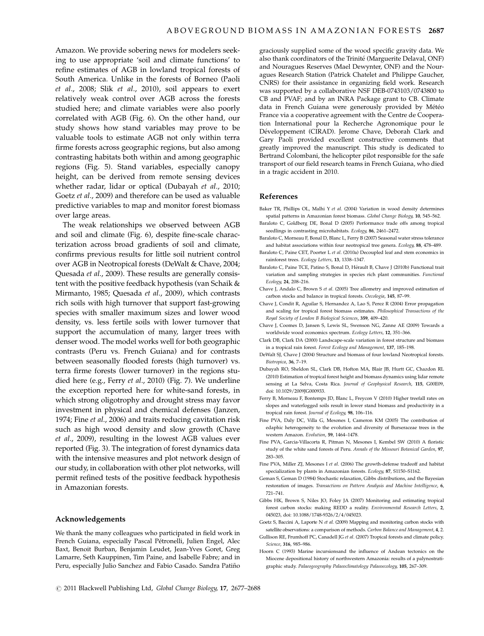Amazon. We provide sobering news for modelers seeking to use appropriate 'soil and climate functions' to refine estimates of AGB in lowland tropical forests of South America. Unlike in the forests of Borneo (Paoli et al., 2008; Slik et al., 2010), soil appears to exert relatively weak control over AGB across the forests studied here; and climate variables were also poorly correlated with AGB (Fig. 6). On the other hand, our study shows how stand variables may prove to be valuable tools to estimate AGB not only within terra firme forests across geographic regions, but also among contrasting habitats both within and among geographic regions (Fig. 5). Stand variables, especially canopy height, can be derived from remote sensing devices whether radar, lidar or optical (Dubayah et al., 2010; Goetz et al., 2009) and therefore can be used as valuable predictive variables to map and monitor forest biomass over large areas.

The weak relationships we observed between AGB and soil and climate (Fig. 6), despite fine-scale characterization across broad gradients of soil and climate, confirms previous results for little soil nutrient control over AGB in Neotropical forests (DeWalt & Chave, 2004; Quesada et al., 2009). These results are generally consistent with the positive feedback hypothesis (van Schaik & Mirmanto, 1985; Quesada et al., 2009), which contrasts rich soils with high turnover that support fast-growing species with smaller maximum sizes and lower wood density, vs. less fertile soils with lower turnover that support the accumulation of many, larger trees with denser wood. The model works well for both geographic contrasts (Peru vs. French Guiana) and for contrasts between seasonally flooded forests (high turnover) vs. terra firme forests (lower turnover) in the regions studied here (e.g., Ferry et al., 2010) (Fig. 7). We underline the exception reported here for white-sand forests, in which strong oligotrophy and drought stress may favor investment in physical and chemical defenses (Janzen, 1974; Fine et al., 2006) and traits reducing cavitation risk such as high wood density and slow growth (Chave et al., 2009), resulting in the lowest AGB values ever reported (Fig. 3). The integration of forest dynamics data with the intensive measures and plot network design of our study, in collaboration with other plot networks, will permit refined tests of the positive feedback hypothesis in Amazonian forests.

## Acknowledgements

We thank the many colleagues who participated in field work in French Guiana, especially Pascal Pétronelli, Julien Engel, Alec Baxt, Benoit Burban, Benjamin Leudet, Jean-Yves Goret, Greg Lamarre, Seth Kauppinen, Tim Paine, and Isabelle Fabre; and in Peru, especially Julio Sanchez and Fabio Casado. Sandra Patiño

graciously supplied some of the wood specific gravity data. We also thank coordinators of the Trinité (Marguerite Delaval, ONF) and Nouragues Reserves (Mael Dewynter, ONF) and the Nouragues Research Station (Patrick Chatelet and Philippe Gaucher, CNRS) for their assistance in organizing field work. Research was supported by a collaborative NSF DEB-0743103/0743800 to CB and PVAF; and by an INRA Package grant to CB. Climate data in French Guiana were generously provided by Météo France via a cooperative agreement with the Centre de Cooperation International pour la Recherche Agronomique pour le Développement (CIRAD). Jerome Chave, Deborah Clark and Gary Paoli provided excellent constructive comments that greatly improved the manuscript. This study is dedicated to Bertrand Colombani, the helicopter pilot responsible for the safe transport of our field research teams in French Guiana, who died in a tragic accident in 2010.

## References

- Baker TR, Phillips OL, Malhi Y et al. (2004) Variation in wood density determines spatial patterns in Amazonian forest biomass. Global Change Biology, 10, 545–562.
- Baraloto C, Goldberg DE, Bonal D (2005) Performance trade offs among tropical seedlings in contrasting microhabitats. Ecology, 86, 2461–2472.
- Baraloto C, Morneau F, Bonal D, Blanc L, Ferry B (2007) Seasonal water stress tolerance and habitat associations within four neotropical tree genera. Ecology, 88, 478–489.
- Baraloto C, Paine CET, Poorter L et al. (2010a) Decoupled leaf and stem economics in rainforest trees. Ecology Letters, 13, 1338–1347.
- Baraloto C, Paine TCE, Patino S, Bonal D, Hérault B, Chave J (2010b) Functional trait variation and sampling strategies in species rich plant communities. Functional Ecology, 24, 208–216.
- Chave J, Andalo C, Brown S et al. (2005) Tree allometry and improved estimation of carbon stocks and balance in tropical forests. Oecologia, 145, 87–99.
- Chave J, Condit R, Aguilar S, Hernandez A, Lao S, Perez R (2004) Error propagation and scaling for tropical forest biomass estimates. Philosophical Transactions of the Royal Society of London B Biological Sciences, 359, 409–420.
- Chave J, Coomes D, Jansen S, Lewis SL, Swenson NG, Zanne AE (2009) Towards a worldwide wood economics spectrum. Ecology Letters, 12, 351–366.
- Clark DB, Clark DA (2000) Landscape-scale variation in forest structure and biomass in a tropical rain forest. Forest Ecology and Management, 137, 185–198.
- DeWalt SL Chave J (2004) Structure and biomass of four lowland Neotropical forests. Biotropica, 36, 7–19.
- Dubayah RO, Sheldon SL, Clark DB, Hofton MA, Blair JB, Hurtt GC, Chazdon RL (2010) Estimation of tropical forest height and biomass dynamics using lidar remote sensing at La Selva, Costa Rica. Journal of Geophysical Research, 115, G00E09, doi: 10.1029/2009JG000933.
- Ferry B, Morneau F, Bontemps JD, Blanc L, Freycon V (2010) Higher treefall rates on slopes and waterlogged soils result in lower stand biomass and productivity in a tropical rain forest. Journal of Ecology, 98, 106–116.
- Fine PVA, Daly DC, Villa G, Mesones I, Cameron KM (2005) The contribution of edaphic heterogeneity to the evolution and diversity of Burseraceae trees in the western Amazon. Evolution, 59, 1464–1478.
- Fine PVA, Garcia-Villacorta R, Pitman N, Mesones I, Kembel SW (2010) A floristic study of the white sand forests of Peru. Annals of the Missouri Botanical Garden, 97, 283–305.
- Fine PVA, Miller ZJ, Mesones I et al. (2006) The growth-defense tradeoff and habitat specialization by plants in Amazonian forests. Ecology, 87, S1150-S1162.
- Geman S, Geman D (1984) Stochastic relaxation, Gibbs distributions, and the Bayesian restoration of images. Transactions on Pattern Analysis and Machine Intelligence, 6, 721–741.
- Gibbs HK, Brown S, Niles JO, Foley JA (2007) Monitoring and estimating tropical forest carbon stocks: making REDD a reality. Environmental Research Letters, 2, 045023, doi: 10.1088/1748-9326/2/4/045023.
- Goetz S, Baccini A, Laporte N et al. (2009) Mapping and monitoring carbon stocks with satellite observations: a comparison of methods. Carbon Balance and Management, 4, 2.
- Gullison RE, Frumhoff PC, Canadell JG et al. (2007) Tropical forests and climate policy. Science, 316, 985–986.
- Hoorn C (1993) Marine incursionsand the influence of Andean tectonics on the Miocene depositional history of northwestern Amazonia: results of a palynostratigraphic study. Palaeogeography Palaeoclimatology Palaeoecology, 105, 267–309.